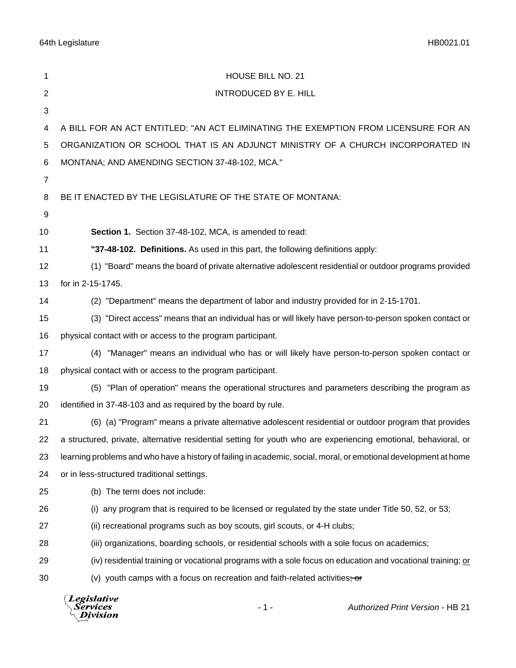64th Legislature HB0021.01

| 1              | HOUSE BILL NO. 21                                                                                                |
|----------------|------------------------------------------------------------------------------------------------------------------|
| $\overline{2}$ | <b>INTRODUCED BY E. HILL</b>                                                                                     |
| 3              |                                                                                                                  |
| 4              | A BILL FOR AN ACT ENTITLED: "AN ACT ELIMINATING THE EXEMPTION FROM LICENSURE FOR AN                              |
| 5              | ORGANIZATION OR SCHOOL THAT IS AN ADJUNCT MINISTRY OF A CHURCH INCORPORATED IN                                   |
| 6              | MONTANA; AND AMENDING SECTION 37-48-102, MCA."                                                                   |
| $\overline{7}$ |                                                                                                                  |
| 8              | BE IT ENACTED BY THE LEGISLATURE OF THE STATE OF MONTANA:                                                        |
| 9              |                                                                                                                  |
| 10             | Section 1. Section 37-48-102, MCA, is amended to read:                                                           |
| 11             | "37-48-102. Definitions. As used in this part, the following definitions apply:                                  |
| 12             | (1) "Board" means the board of private alternative adolescent residential or outdoor programs provided           |
| 13             | for in 2-15-1745.                                                                                                |
| 14             | (2) "Department" means the department of labor and industry provided for in 2-15-1701.                           |
| 15             | (3) "Direct access" means that an individual has or will likely have person-to-person spoken contact or          |
| 16             | physical contact with or access to the program participant.                                                      |
| 17             | "Manager" means an individual who has or will likely have person-to-person spoken contact or<br>(4)              |
| 18             | physical contact with or access to the program participant.                                                      |
| 19             | (5) "Plan of operation" means the operational structures and parameters describing the program as                |
| 20             | identified in 37-48-103 and as required by the board by rule.                                                    |
| 21             | (6) (a) "Program" means a private alternative adolescent residential or outdoor program that provides            |
| 22             | a structured, private, alternative residential setting for youth who are experiencing emotional, behavioral, or  |
| 23             | learning problems and who have a history of failing in academic, social, moral, or emotional development at home |
| 24             | or in less-structured traditional settings.                                                                      |
| 25             | (b) The term does not include:                                                                                   |
| 26             | any program that is required to be licensed or regulated by the state under Title 50, 52, or 53;<br>(i)          |
| 27             | (ii) recreational programs such as boy scouts, girl scouts, or 4-H clubs;                                        |
| 28             | (iii) organizations, boarding schools, or residential schools with a sole focus on academics;                    |
| 29             | (iv) residential training or vocational programs with a sole focus on education and vocational training; or      |
| 30             | (v) youth camps with a focus on recreation and faith-related activities; or                                      |
|                | Legislative<br>- 1 -<br><b>Authorized Print Version - HB 21</b><br>Services<br>Division                          |